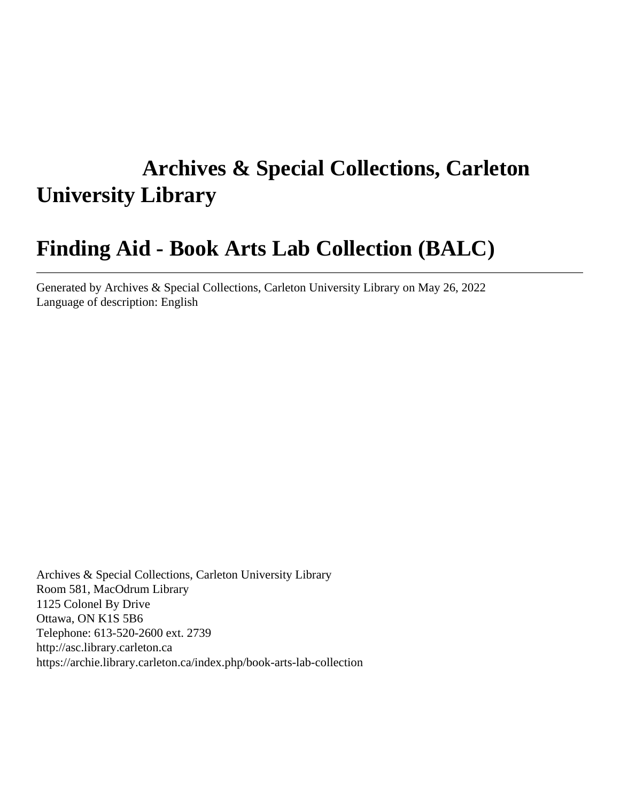# **Archives & Special Collections, Carleton University Library**

# **Finding Aid - Book Arts Lab Collection (BALC)**

Generated by Archives & Special Collections, Carleton University Library on May 26, 2022 Language of description: English

Archives & Special Collections, Carleton University Library Room 581, MacOdrum Library 1125 Colonel By Drive Ottawa, ON K1S 5B6 Telephone: 613-520-2600 ext. 2739 http://asc.library.carleton.ca https://archie.library.carleton.ca/index.php/book-arts-lab-collection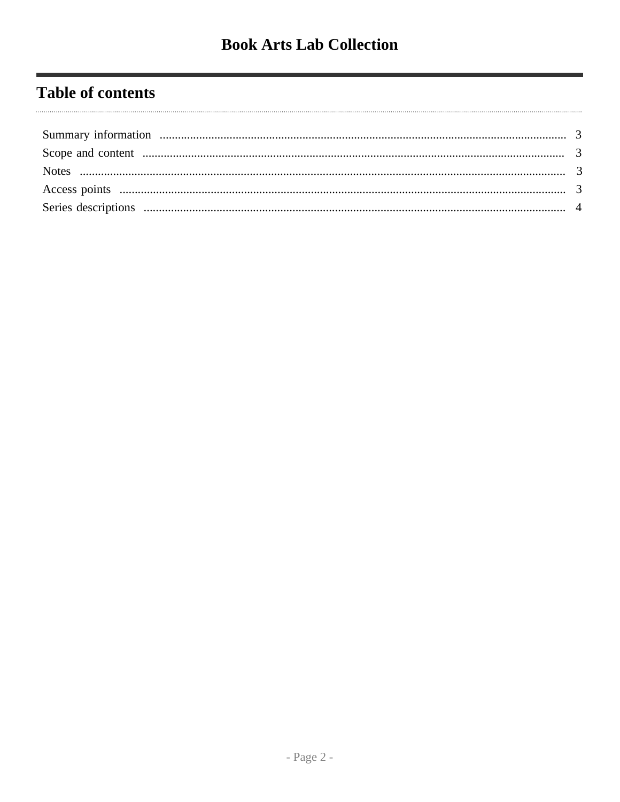## **Table of contents**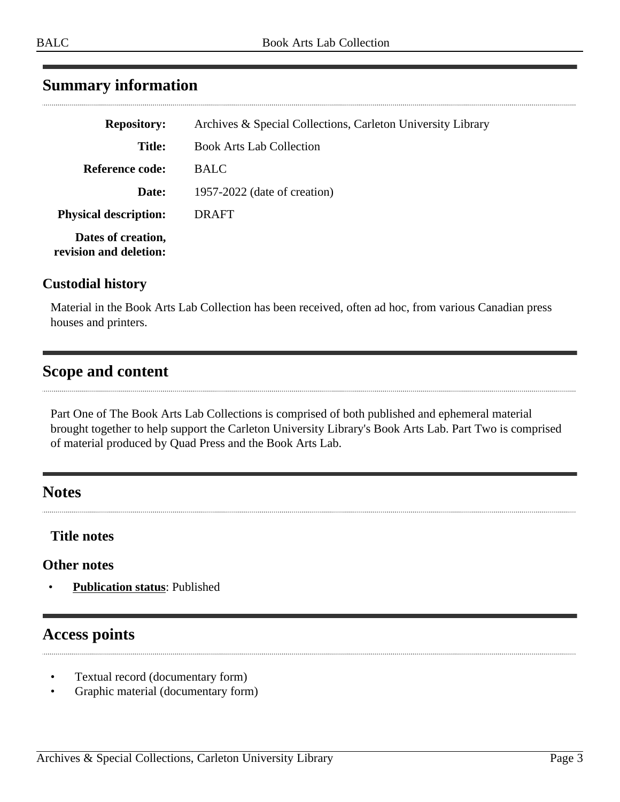## <span id="page-2-0"></span>**Summary information**

| <b>Repository:</b>                           | Archives & Special Collections, Carleton University Library |
|----------------------------------------------|-------------------------------------------------------------|
| <b>Title:</b>                                | <b>Book Arts Lab Collection</b>                             |
| Reference code:                              | <b>BALC</b>                                                 |
| Date:                                        | 1957-2022 (date of creation)                                |
| <b>Physical description:</b>                 | DRAFT                                                       |
| Dates of creation,<br>revision and deletion: |                                                             |

#### **Custodial history**

Material in the Book Arts Lab Collection has been received, often ad hoc, from various Canadian press houses and printers.

#### <span id="page-2-1"></span>**Scope and content**

Part One of The Book Arts Lab Collections is comprised of both published and ephemeral material brought together to help support the Carleton University Library's Book Arts Lab. Part Two is comprised of material produced by Quad Press and the Book Arts Lab.

#### <span id="page-2-2"></span>**Notes**

#### **Title notes**

#### **Other notes**

• **Publication status**: Published

### <span id="page-2-3"></span>**Access points**

- Textual record (documentary form)
- Graphic material (documentary form)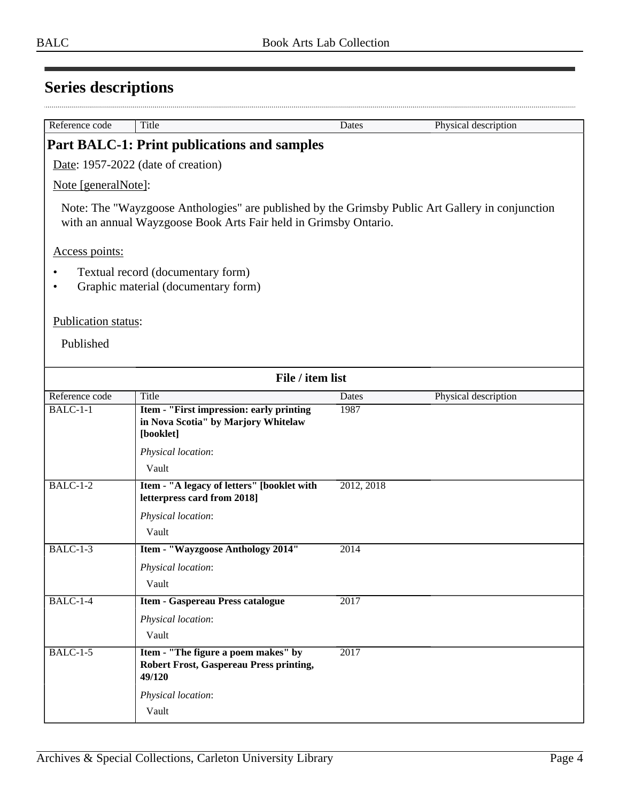<span id="page-3-0"></span>

| Reference code      | Title                                                                                                                                                                | Dates      | Physical description |
|---------------------|----------------------------------------------------------------------------------------------------------------------------------------------------------------------|------------|----------------------|
|                     |                                                                                                                                                                      |            |                      |
|                     | <b>Part BALC-1: Print publications and samples</b>                                                                                                                   |            |                      |
|                     | Date: 1957-2022 (date of creation)                                                                                                                                   |            |                      |
| Note [generalNote]: |                                                                                                                                                                      |            |                      |
|                     | Note: The "Wayzgoose Anthologies" are published by the Grimsby Public Art Gallery in conjunction<br>with an annual Wayzgoose Book Arts Fair held in Grimsby Ontario. |            |                      |
| Access points:      |                                                                                                                                                                      |            |                      |
|                     | Textual record (documentary form)<br>Graphic material (documentary form)                                                                                             |            |                      |
| Publication status: |                                                                                                                                                                      |            |                      |
| Published           |                                                                                                                                                                      |            |                      |
|                     | File / item list                                                                                                                                                     |            |                      |
| Reference code      | Title                                                                                                                                                                | Dates      | Physical description |
| $BALC-1-1$          | Item - "First impression: early printing<br>in Nova Scotia" by Marjory Whitelaw<br>[booklet]                                                                         | 1987       |                      |
|                     | Physical location:<br>Vault                                                                                                                                          |            |                      |
| $BALC-1-2$          | Item - "A legacy of letters" [booklet with<br>letterpress card from 2018]                                                                                            | 2012, 2018 |                      |
|                     | Physical location:                                                                                                                                                   |            |                      |
|                     | Vault                                                                                                                                                                |            |                      |
| <b>BALC-1-3</b>     | Item - "Wayzgoose Anthology 2014"                                                                                                                                    | 2014       |                      |
|                     | Physical location:                                                                                                                                                   |            |                      |
|                     | Vault                                                                                                                                                                |            |                      |
| BALC-1-4            | <b>Item - Gaspereau Press catalogue</b>                                                                                                                              | 2017       |                      |
|                     | Physical location:                                                                                                                                                   |            |                      |
|                     | Vault                                                                                                                                                                |            |                      |
| <b>BALC-1-5</b>     | Item - "The figure a poem makes" by<br><b>Robert Frost, Gaspereau Press printing,</b><br>49/120                                                                      | 2017       |                      |
|                     | Physical location:                                                                                                                                                   |            |                      |
|                     | Vault                                                                                                                                                                |            |                      |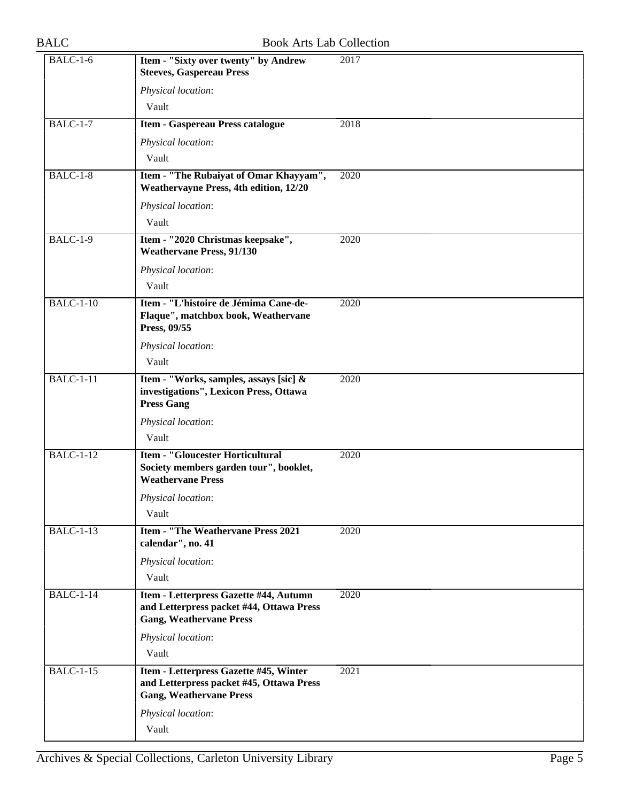| <b>BALC-1-6</b>  | Item - "Sixty over twenty" by Andrew<br><b>Steeves, Gaspereau Press</b>                                              | 2017 |
|------------------|----------------------------------------------------------------------------------------------------------------------|------|
|                  | Physical location:                                                                                                   |      |
|                  | Vault                                                                                                                |      |
| $BALC-1-7$       | <b>Item - Gaspereau Press catalogue</b>                                                                              | 2018 |
|                  | Physical location:                                                                                                   |      |
|                  | Vault                                                                                                                |      |
| $BALC-1-8$       | Item - "The Rubaiyat of Omar Khayyam",<br><b>Weathervayne Press, 4th edition, 12/20</b>                              | 2020 |
|                  | Physical location:                                                                                                   |      |
|                  | Vault                                                                                                                |      |
| <b>BALC-1-9</b>  | Item - "2020 Christmas keepsake",<br><b>Weathervane Press, 91/130</b>                                                | 2020 |
|                  | Physical location:                                                                                                   |      |
|                  | Vault                                                                                                                |      |
| <b>BALC-1-10</b> | Item - "L'histoire de Jémima Cane-de-<br>Flaque", matchbox book, Weathervane<br>Press, 09/55                         | 2020 |
|                  | Physical location:                                                                                                   |      |
|                  | Vault                                                                                                                |      |
| <b>BALC-1-11</b> | Item - "Works, samples, assays [sic] &<br>investigations", Lexicon Press, Ottawa                                     | 2020 |
|                  | <b>Press Gang</b>                                                                                                    |      |
|                  | Physical location:                                                                                                   |      |
|                  | Vault                                                                                                                |      |
| <b>BALC-1-12</b> | <b>Item - "Gloucester Horticultural</b><br>Society members garden tour", booklet,<br><b>Weathervane Press</b>        | 2020 |
|                  | Physical location:<br>Vault                                                                                          |      |
| <b>BALC-1-13</b> | <b>Item - "The Weathervane Press 2021</b><br>calendar", no. 41                                                       | 2020 |
|                  | Physical location:<br>Vault                                                                                          |      |
| <b>BALC-1-14</b> | Item - Letterpress Gazette #44, Autumn<br>and Letterpress packet #44, Ottawa Press<br><b>Gang, Weathervane Press</b> | 2020 |
|                  | Physical location:                                                                                                   |      |
|                  | Vault                                                                                                                |      |
| <b>BALC-1-15</b> | Item - Letterpress Gazette #45, Winter<br>and Letterpress packet #45, Ottawa Press<br><b>Gang, Weathervane Press</b> | 2021 |
|                  | Physical location:                                                                                                   |      |
|                  | Vault                                                                                                                |      |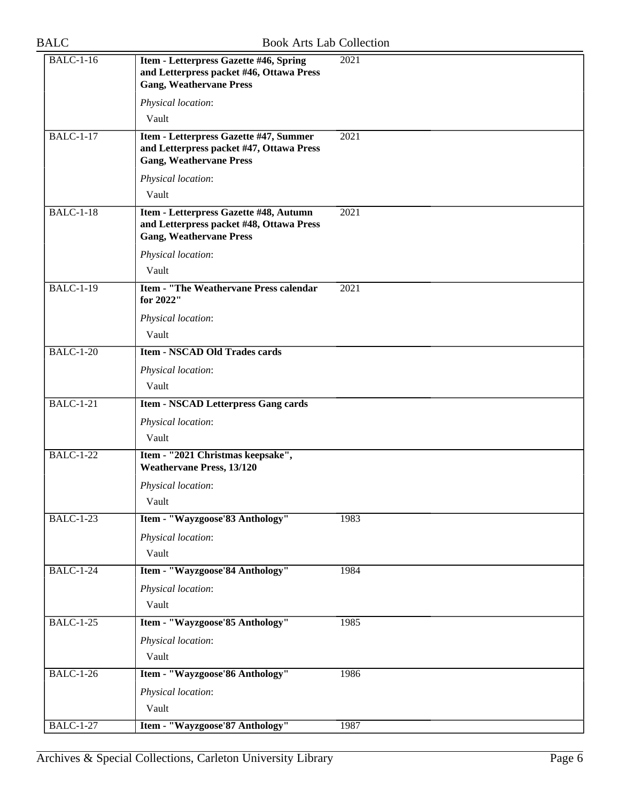| <b>BALC-1-16</b> | Item - Letterpress Gazette #46, Spring<br>and Letterpress packet #46, Ottawa Press<br><b>Gang, Weathervane Press</b> | 2021 |
|------------------|----------------------------------------------------------------------------------------------------------------------|------|
|                  | Physical location:<br>Vault                                                                                          |      |
| <b>BALC-1-17</b> | Item - Letterpress Gazette #47, Summer<br>and Letterpress packet #47, Ottawa Press<br><b>Gang, Weathervane Press</b> | 2021 |
|                  | Physical location:<br>Vault                                                                                          |      |
| $BALC-1-18$      | Item - Letterpress Gazette #48, Autumn<br>and Letterpress packet #48, Ottawa Press<br><b>Gang, Weathervane Press</b> | 2021 |
|                  | Physical location:<br>Vault                                                                                          |      |
| <b>BALC-1-19</b> | <b>Item - "The Weathervane Press calendar"</b><br>for 2022"                                                          | 2021 |
|                  | Physical location:<br>Vault                                                                                          |      |
| <b>BALC-1-20</b> | <b>Item - NSCAD Old Trades cards</b>                                                                                 |      |
|                  | Physical location:                                                                                                   |      |
|                  | Vault                                                                                                                |      |
| <b>BALC-1-21</b> | <b>Item - NSCAD Letterpress Gang cards</b>                                                                           |      |
|                  | Physical location:                                                                                                   |      |
|                  | Vault                                                                                                                |      |
| <b>BALC-1-22</b> | Item - "2021 Christmas keepsake",<br><b>Weathervane Press, 13/120</b>                                                |      |
|                  | Physical location:                                                                                                   |      |
|                  | Vault                                                                                                                |      |
| <b>BALC-1-23</b> | Item - "Wayzgoose'83 Anthology"                                                                                      | 1983 |
|                  | Physical location:<br>Vault                                                                                          |      |
| <b>BALC-1-24</b> | Item - "Wayzgoose'84 Anthology"                                                                                      | 1984 |
|                  | Physical location:                                                                                                   |      |
|                  | Vault                                                                                                                |      |
| <b>BALC-1-25</b> | Item - "Wayzgoose'85 Anthology"                                                                                      | 1985 |
|                  | Physical location:                                                                                                   |      |
|                  | Vault                                                                                                                |      |
| <b>BALC-1-26</b> | Item - "Wayzgoose'86 Anthology"                                                                                      | 1986 |
|                  | Physical location:                                                                                                   |      |
|                  | Vault                                                                                                                |      |
| <b>BALC-1-27</b> | Item - "Wayzgoose'87 Anthology"                                                                                      | 1987 |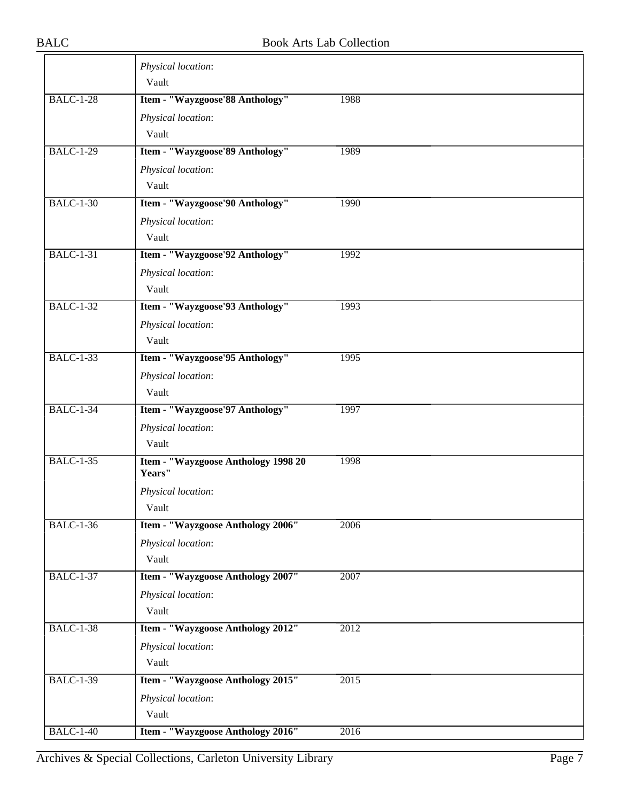|                  | Physical location:<br>Vault                   |      |
|------------------|-----------------------------------------------|------|
| <b>BALC-1-28</b> | Item - "Wayzgoose'88 Anthology"               | 1988 |
|                  | Physical location:                            |      |
|                  | Vault                                         |      |
| <b>BALC-1-29</b> | Item - "Wayzgoose'89 Anthology"               | 1989 |
|                  | Physical location:                            |      |
|                  | Vault                                         |      |
| <b>BALC-1-30</b> | Item - "Wayzgoose'90 Anthology"               | 1990 |
|                  | Physical location:                            |      |
|                  | Vault                                         |      |
| <b>BALC-1-31</b> | Item - "Wayzgoose'92 Anthology"               | 1992 |
|                  | Physical location:                            |      |
|                  | Vault                                         |      |
| <b>BALC-1-32</b> | Item - "Wayzgoose'93 Anthology"               | 1993 |
|                  | Physical location:                            |      |
|                  | Vault                                         |      |
| <b>BALC-1-33</b> | Item - "Wayzgoose'95 Anthology"               | 1995 |
|                  | Physical location:                            |      |
|                  | Vault                                         |      |
| <b>BALC-1-34</b> | Item - "Wayzgoose'97 Anthology"               | 1997 |
|                  | Physical location:                            |      |
|                  | Vault                                         |      |
| <b>BALC-1-35</b> | Item - "Wayzgoose Anthology 1998 20<br>Years" | 1998 |
|                  | Physical location:                            |      |
|                  | Vault                                         |      |
| <b>BALC-1-36</b> | Item - "Wayzgoose Anthology 2006"             | 2006 |
|                  | Physical location:                            |      |
|                  | Vault                                         |      |
| <b>BALC-1-37</b> | Item - "Wayzgoose Anthology 2007"             | 2007 |
|                  | Physical location:                            |      |
|                  | Vault                                         |      |
| <b>BALC-1-38</b> | Item - "Wayzgoose Anthology 2012"             | 2012 |
|                  | Physical location:                            |      |
|                  | Vault                                         |      |
| <b>BALC-1-39</b> | Item - "Wayzgoose Anthology 2015"             | 2015 |
|                  | Physical location:                            |      |
|                  | Vault                                         |      |
| <b>BALC-1-40</b> | Item - "Wayzgoose Anthology 2016"             | 2016 |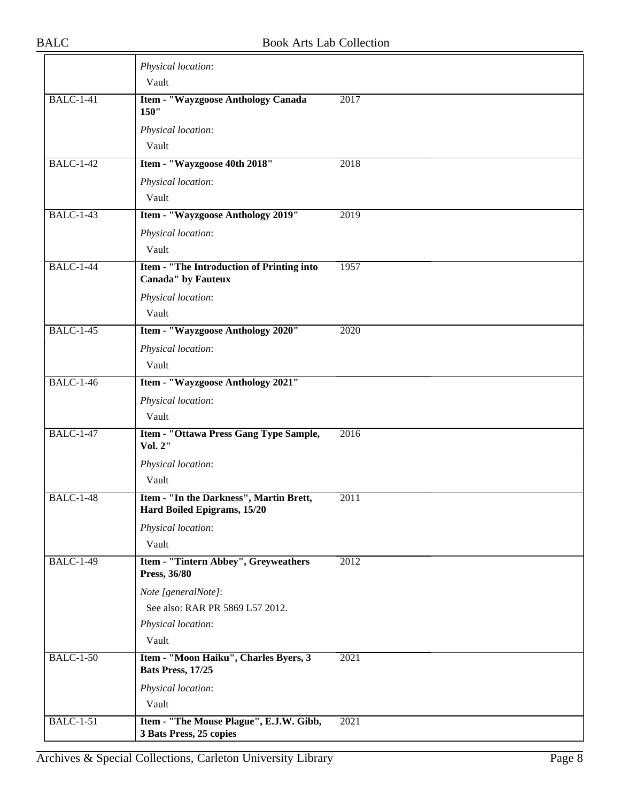|                  | Physical location:                                                     |      |
|------------------|------------------------------------------------------------------------|------|
|                  | Vault                                                                  |      |
| <b>BALC-1-41</b> | Item - "Wayzgoose Anthology Canada<br>150"                             | 2017 |
|                  | Physical location:                                                     |      |
|                  | Vault                                                                  |      |
| <b>BALC-1-42</b> | Item - "Wayzgoose 40th 2018"                                           | 2018 |
|                  | Physical location:                                                     |      |
|                  | Vault                                                                  |      |
| <b>BALC-1-43</b> | Item - "Wayzgoose Anthology 2019"                                      | 2019 |
|                  | Physical location:                                                     |      |
|                  | Vault                                                                  |      |
| <b>BALC-1-44</b> | Item - "The Introduction of Printing into<br><b>Canada"</b> by Fauteux | 1957 |
|                  | Physical location:                                                     |      |
|                  | Vault                                                                  |      |
| <b>BALC-1-45</b> | Item - "Wayzgoose Anthology 2020"                                      | 2020 |
|                  | Physical location:                                                     |      |
|                  | Vault                                                                  |      |
| <b>BALC-1-46</b> | Item - "Wayzgoose Anthology 2021"                                      |      |
|                  | Physical location:                                                     |      |
|                  | Vault                                                                  |      |
| <b>BALC-1-47</b> | Item - "Ottawa Press Gang Type Sample,<br>Vol. 2"                      | 2016 |
|                  | Physical location:                                                     |      |
|                  | Vault                                                                  |      |
| <b>BALC-1-48</b> | Item - "In the Darkness", Martin Brett,<br>Hard Boiled Epigrams, 15/20 | 2011 |
|                  | Physical location:                                                     |      |
|                  | Vault                                                                  |      |
| <b>BALC-1-49</b> | Item - "Tintern Abbey", Greyweathers<br>Press, 36/80                   | 2012 |
|                  | Note [generalNote]:                                                    |      |
|                  | See also: RAR PR 5869 L57 2012.                                        |      |
|                  | Physical location:                                                     |      |
|                  | Vault                                                                  |      |
| <b>BALC-1-50</b> | Item - "Moon Haiku", Charles Byers, 3<br>Bats Press, 17/25             | 2021 |
|                  | Physical location:                                                     |      |
|                  | Vault                                                                  |      |
| <b>BALC-1-51</b> | Item - "The Mouse Plague", E.J.W. Gibb,<br>3 Bats Press, 25 copies     | 2021 |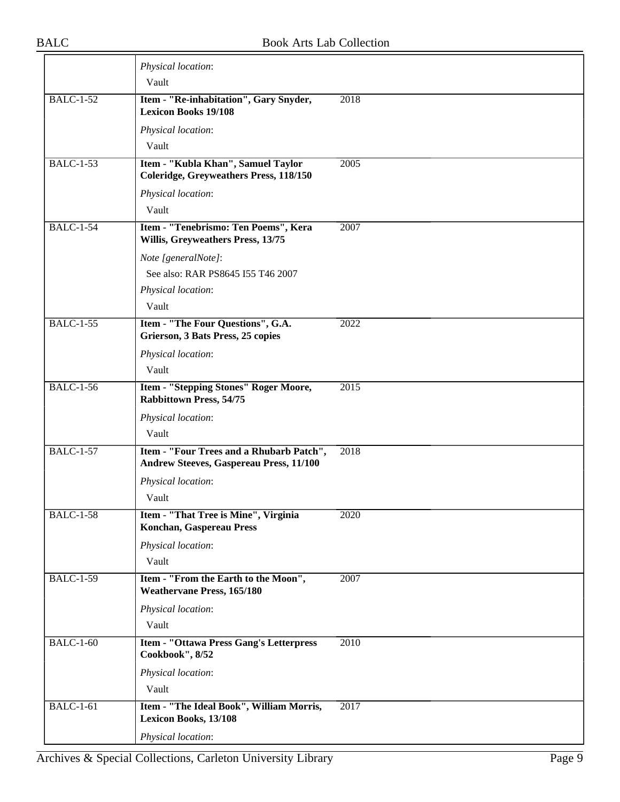|                  | Physical location:                                                                         |                   |
|------------------|--------------------------------------------------------------------------------------------|-------------------|
|                  | Vault                                                                                      |                   |
| <b>BALC-1-52</b> | Item - "Re-inhabitation", Gary Snyder,<br><b>Lexicon Books 19/108</b>                      | 2018              |
|                  | Physical location:                                                                         |                   |
|                  | Vault                                                                                      |                   |
| <b>BALC-1-53</b> | Item - "Kubla Khan", Samuel Taylor<br>Coleridge, Greyweathers Press, 118/150               | 2005              |
|                  | Physical location:                                                                         |                   |
|                  | Vault                                                                                      |                   |
| <b>BALC-1-54</b> | Item - "Tenebrismo: Ten Poems", Kera<br>Willis, Greyweathers Press, 13/75                  | 2007              |
|                  | Note [generalNote]:                                                                        |                   |
|                  | See also: RAR PS8645 I55 T46 2007                                                          |                   |
|                  | Physical location:                                                                         |                   |
|                  | Vault                                                                                      |                   |
| <b>BALC-1-55</b> | Item - "The Four Questions", G.A.<br>Grierson, 3 Bats Press, 25 copies                     | 2022              |
|                  | Physical location:                                                                         |                   |
|                  | Vault                                                                                      |                   |
| <b>BALC-1-56</b> | Item - "Stepping Stones" Roger Moore,<br><b>Rabbittown Press, 54/75</b>                    | $\overline{2015}$ |
|                  | Physical location:                                                                         |                   |
|                  | Vault                                                                                      |                   |
| <b>BALC-1-57</b> | Item - "Four Trees and a Rhubarb Patch",<br><b>Andrew Steeves, Gaspereau Press, 11/100</b> | $\overline{2018}$ |
|                  | Physical location:                                                                         |                   |
|                  | Vault                                                                                      |                   |
| <b>BALC-1-58</b> | Item - "That Tree is Mine", Virginia<br><b>Konchan, Gaspereau Press</b>                    | 2020              |
|                  | Physical location:                                                                         |                   |
|                  | Vault                                                                                      |                   |
| <b>BALC-1-59</b> | Item - "From the Earth to the Moon",<br><b>Weathervane Press, 165/180</b>                  | 2007              |
|                  | Physical location:                                                                         |                   |
|                  | Vault                                                                                      |                   |
| <b>BALC-1-60</b> | Item - "Ottawa Press Gang's Letterpress<br>Cookbook", 8/52                                 | 2010              |
|                  | Physical location:                                                                         |                   |
|                  | Vault                                                                                      |                   |
| <b>BALC-1-61</b> | Item - "The Ideal Book", William Morris,<br><b>Lexicon Books, 13/108</b>                   | 2017              |
|                  | Physical location:                                                                         |                   |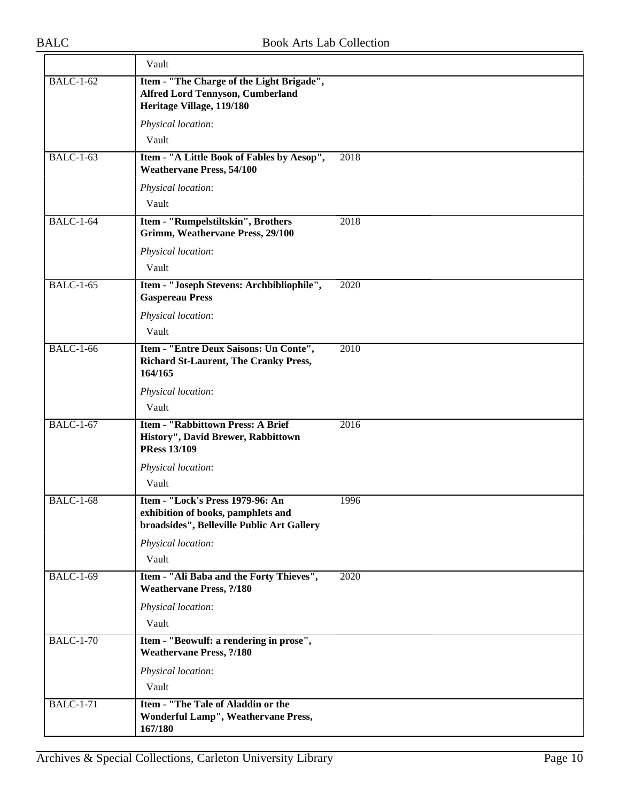|                  | Vault                                                                                                                |      |
|------------------|----------------------------------------------------------------------------------------------------------------------|------|
| <b>BALC-1-62</b> | Item - "The Charge of the Light Brigade",<br><b>Alfred Lord Tennyson, Cumberland</b><br>Heritage Village, 119/180    |      |
|                  | Physical location:                                                                                                   |      |
|                  | Vault                                                                                                                |      |
| <b>BALC-1-63</b> | Item - "A Little Book of Fables by Aesop",<br><b>Weathervane Press, 54/100</b>                                       | 2018 |
|                  | Physical location:                                                                                                   |      |
|                  | Vault                                                                                                                |      |
| <b>BALC-1-64</b> | Item - "Rumpelstiltskin", Brothers<br>Grimm, Weathervane Press, 29/100                                               | 2018 |
|                  | Physical location:                                                                                                   |      |
|                  | Vault                                                                                                                |      |
| <b>BALC-1-65</b> | Item - "Joseph Stevens: Archbibliophile",<br><b>Gaspereau Press</b>                                                  | 2020 |
|                  | Physical location:                                                                                                   |      |
|                  | Vault                                                                                                                |      |
| <b>BALC-1-66</b> | Item - "Entre Deux Saisons: Un Conte",<br><b>Richard St-Laurent, The Cranky Press,</b><br>164/165                    | 2010 |
|                  | Physical location:                                                                                                   |      |
|                  | Vault                                                                                                                |      |
| <b>BALC-1-67</b> | <b>Item - "Rabbittown Press: A Brief</b><br>History", David Brewer, Rabbittown<br><b>PRess 13/109</b>                | 2016 |
|                  | Physical location:                                                                                                   |      |
|                  | Vault                                                                                                                |      |
| <b>BALC-1-68</b> | Item - "Lock's Press 1979-96: An<br>exhibition of books, pamphlets and<br>broadsides", Belleville Public Art Gallery | 1996 |
|                  | Physical location:                                                                                                   |      |
|                  | Vault                                                                                                                |      |
| <b>BALC-1-69</b> | Item - "Ali Baba and the Forty Thieves",<br><b>Weathervane Press, ?/180</b>                                          | 2020 |
|                  | Physical location:                                                                                                   |      |
|                  | Vault                                                                                                                |      |
| <b>BALC-1-70</b> | Item - "Beowulf: a rendering in prose",<br><b>Weathervane Press, ?/180</b>                                           |      |
|                  | Physical location:<br>Vault                                                                                          |      |
| <b>BALC-1-71</b> | Item - "The Tale of Aladdin or the                                                                                   |      |
|                  | Wonderful Lamp", Weathervane Press,<br>167/180                                                                       |      |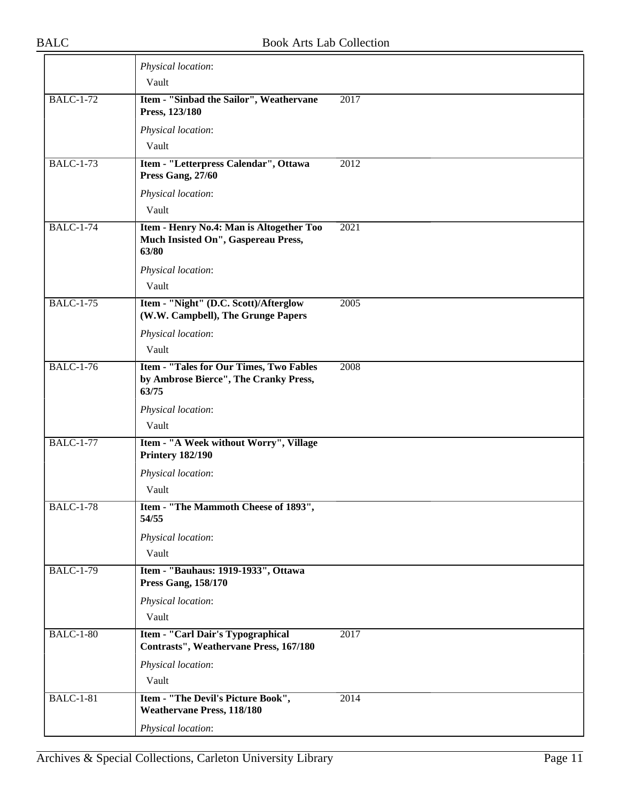|                  | Physical location:                                                                        |      |
|------------------|-------------------------------------------------------------------------------------------|------|
|                  | Vault                                                                                     |      |
| <b>BALC-1-72</b> | Item - "Sinbad the Sailor", Weathervane<br>Press, 123/180                                 | 2017 |
|                  | Physical location:                                                                        |      |
|                  | Vault                                                                                     |      |
| <b>BALC-1-73</b> | Item - "Letterpress Calendar", Ottawa<br>Press Gang, 27/60                                | 2012 |
|                  | Physical location:                                                                        |      |
|                  | Vault                                                                                     |      |
| <b>BALC-1-74</b> | Item - Henry No.4: Man is Altogether Too<br>Much Insisted On", Gaspereau Press,<br>63/80  | 2021 |
|                  | Physical location:<br>Vault                                                               |      |
|                  |                                                                                           |      |
| <b>BALC-1-75</b> | Item - "Night" (D.C. Scott)/Afterglow<br>(W.W. Campbell), The Grunge Papers               | 2005 |
|                  | Physical location:                                                                        |      |
|                  | Vault                                                                                     |      |
| <b>BALC-1-76</b> | Item - "Tales for Our Times, Two Fables<br>by Ambrose Bierce", The Cranky Press,<br>63/75 | 2008 |
|                  | Physical location:                                                                        |      |
|                  | Vault                                                                                     |      |
| <b>BALC-1-77</b> | Item - "A Week without Worry", Village<br><b>Printery 182/190</b>                         |      |
|                  | Physical location:                                                                        |      |
|                  | Vault                                                                                     |      |
| <b>BALC-1-78</b> | Item - "The Mammoth Cheese of 1893",<br>54/55                                             |      |
|                  | Physical location:                                                                        |      |
|                  | Vault                                                                                     |      |
| <b>BALC-1-79</b> | Item - "Bauhaus: 1919-1933", Ottawa<br><b>Press Gang, 158/170</b>                         |      |
|                  | Physical location:                                                                        |      |
|                  | Vault                                                                                     |      |
| <b>BALC-1-80</b> | Item - "Carl Dair's Typographical<br>Contrasts", Weathervane Press, 167/180               | 2017 |
|                  | Physical location:                                                                        |      |
|                  | Vault                                                                                     |      |
| <b>BALC-1-81</b> | Item - "The Devil's Picture Book",<br><b>Weathervane Press, 118/180</b>                   | 2014 |
|                  | Physical location:                                                                        |      |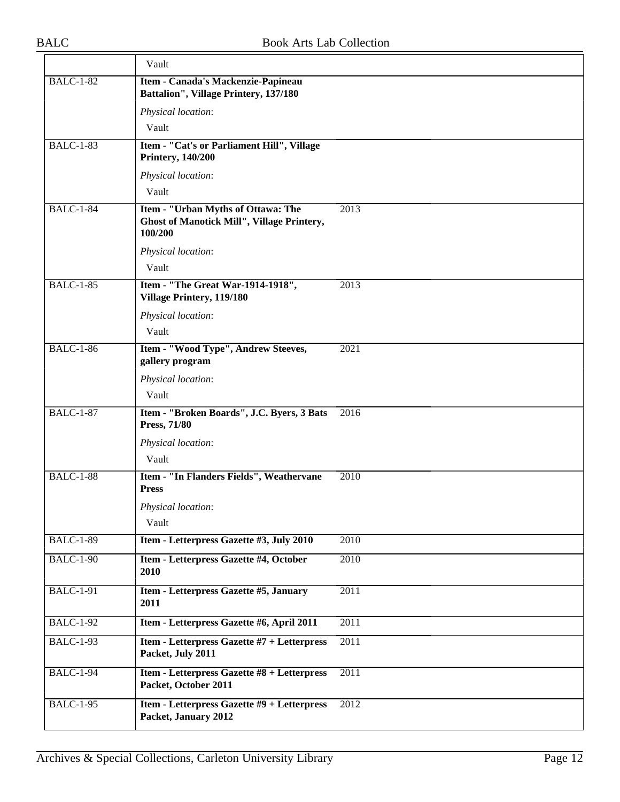|                  | Vault                                                                                       |                   |
|------------------|---------------------------------------------------------------------------------------------|-------------------|
| <b>BALC-1-82</b> | Item - Canada's Mackenzie-Papineau<br>Battalion", Village Printery, 137/180                 |                   |
|                  | Physical location:                                                                          |                   |
|                  | Vault                                                                                       |                   |
| <b>BALC-1-83</b> | Item - "Cat's or Parliament Hill", Village<br><b>Printery, 140/200</b>                      |                   |
|                  | Physical location:                                                                          |                   |
|                  | Vault                                                                                       |                   |
| <b>BALC-1-84</b> | Item - "Urban Myths of Ottawa: The<br>Ghost of Manotick Mill", Village Printery,<br>100/200 | 2013              |
|                  | Physical location:                                                                          |                   |
|                  | Vault                                                                                       |                   |
| <b>BALC-1-85</b> | Item - "The Great War-1914-1918",<br>Village Printery, 119/180                              | 2013              |
|                  | Physical location:                                                                          |                   |
|                  | Vault                                                                                       |                   |
| <b>BALC-1-86</b> | Item - "Wood Type", Andrew Steeves,<br>gallery program                                      | 2021              |
|                  | Physical location:                                                                          |                   |
|                  | Vault                                                                                       |                   |
| <b>BALC-1-87</b> | Item - "Broken Boards", J.C. Byers, 3 Bats<br>Press, 71/80                                  | 2016              |
|                  | Physical location:<br>Vault                                                                 |                   |
| <b>BALC-1-88</b> | Item - "In Flanders Fields", Weathervane<br><b>Press</b>                                    | 2010              |
|                  | Physical location:<br>Vault                                                                 |                   |
| <b>BALC-1-89</b> | Item - Letterpress Gazette #3, July 2010                                                    | 2010              |
| <b>BALC-1-90</b> | Item - Letterpress Gazette #4, October<br>2010                                              | 2010              |
| <b>BALC-1-91</b> | Item - Letterpress Gazette #5, January<br>2011                                              | 2011              |
| <b>BALC-1-92</b> | Item - Letterpress Gazette #6, April 2011                                                   | 2011              |
| <b>BALC-1-93</b> | Item - Letterpress Gazette #7 + Letterpress<br>Packet, July 2011                            | 2011              |
| <b>BALC-1-94</b> | Item - Letterpress Gazette #8 + Letterpress<br>Packet, October 2011                         | 2011              |
| <b>BALC-1-95</b> | Item - Letterpress Gazette #9 + Letterpress<br>Packet, January 2012                         | $\overline{2012}$ |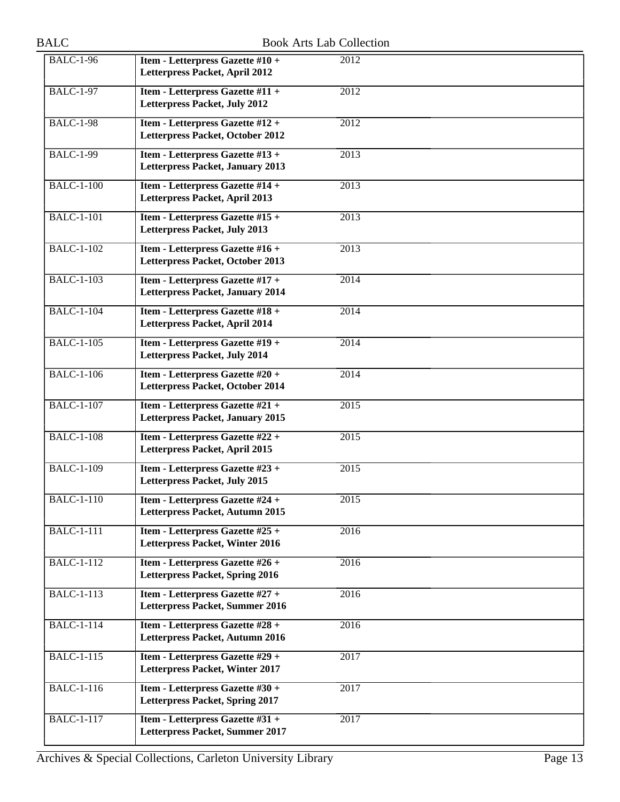| <b>BALC</b>       |                                                                             | <b>Book Arts Lab Collection</b> |
|-------------------|-----------------------------------------------------------------------------|---------------------------------|
| <b>BALC-1-96</b>  | Item - Letterpress Gazette #10 +<br>Letterpress Packet, April 2012          | 2012                            |
| <b>BALC-1-97</b>  | Item - Letterpress Gazette #11 +<br>Letterpress Packet, July 2012           | 2012                            |
| <b>BALC-1-98</b>  | Item - Letterpress Gazette #12 +<br>Letterpress Packet, October 2012        | $\overline{2012}$               |
| <b>BALC-1-99</b>  | Item - Letterpress Gazette #13 +<br><b>Letterpress Packet, January 2013</b> | 2013                            |
| <b>BALC-1-100</b> | Item - Letterpress Gazette #14 +<br>Letterpress Packet, April 2013          | 2013                            |
| <b>BALC-1-101</b> | Item - Letterpress Gazette #15 +<br>Letterpress Packet, July 2013           | 2013                            |
| <b>BALC-1-102</b> | Item - Letterpress Gazette #16 +<br>Letterpress Packet, October 2013        | 2013                            |
| <b>BALC-1-103</b> | Item - Letterpress Gazette #17 +<br><b>Letterpress Packet, January 2014</b> | 2014                            |
| <b>BALC-1-104</b> | Item - Letterpress Gazette #18 +<br>Letterpress Packet, April 2014          | $\overline{2014}$               |
| <b>BALC-1-105</b> | Item - Letterpress Gazette #19 +<br>Letterpress Packet, July 2014           | 2014                            |
| <b>BALC-1-106</b> | Item - Letterpress Gazette #20 +<br>Letterpress Packet, October 2014        | 2014                            |
| <b>BALC-1-107</b> | Item - Letterpress Gazette #21 +<br><b>Letterpress Packet, January 2015</b> | $\overline{2015}$               |
| <b>BALC-1-108</b> | Item - Letterpress Gazette #22 +<br>Letterpress Packet, April 2015          | 2015                            |
| <b>BALC-1-109</b> | Item - Letterpress Gazette #23 +<br>Letterpress Packet, July 2015           | $\overline{2015}$               |
| <b>BALC-1-110</b> | Item - Letterpress Gazette #24 +<br>Letterpress Packet, Autumn 2015         | $\overline{2015}$               |
| <b>BALC-1-111</b> | Item - Letterpress Gazette #25 +<br>Letterpress Packet, Winter 2016         | 2016                            |
| <b>BALC-1-112</b> | Item - Letterpress Gazette #26 +<br><b>Letterpress Packet, Spring 2016</b>  | 2016                            |
| <b>BALC-1-113</b> | Item - Letterpress Gazette #27 +<br>Letterpress Packet, Summer 2016         | $\overline{2016}$               |
| <b>BALC-1-114</b> | Item - Letterpress Gazette #28 +<br>Letterpress Packet, Autumn 2016         | 2016                            |
| <b>BALC-1-115</b> | Item - Letterpress Gazette #29 +<br>Letterpress Packet, Winter 2017         | 2017                            |
| <b>BALC-1-116</b> | Item - Letterpress Gazette #30 +<br>Letterpress Packet, Spring 2017         | 2017                            |
| <b>BALC-1-117</b> | Item - Letterpress Gazette #31 +<br>Letterpress Packet, Summer 2017         | 2017                            |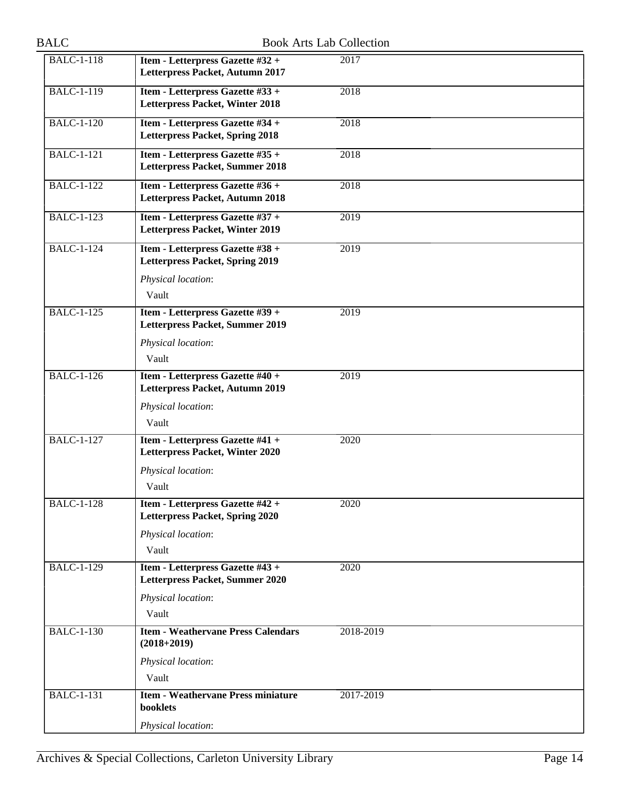| <b>BALC</b>       | <b>Book Arts Lab Collection</b>                                            |           |  |
|-------------------|----------------------------------------------------------------------------|-----------|--|
| <b>BALC-1-118</b> | Item - Letterpress Gazette #32 +<br>Letterpress Packet, Autumn 2017        | 2017      |  |
| <b>BALC-1-119</b> | Item - Letterpress Gazette #33 +<br>Letterpress Packet, Winter 2018        | 2018      |  |
| <b>BALC-1-120</b> | Item - Letterpress Gazette #34 +<br><b>Letterpress Packet, Spring 2018</b> | 2018      |  |
| <b>BALC-1-121</b> | Item - Letterpress Gazette #35 +<br>Letterpress Packet, Summer 2018        | 2018      |  |
| <b>BALC-1-122</b> | Item - Letterpress Gazette #36 +<br>Letterpress Packet, Autumn 2018        | 2018      |  |
| <b>BALC-1-123</b> | Item - Letterpress Gazette #37 +<br>Letterpress Packet, Winter 2019        | 2019      |  |
| <b>BALC-1-124</b> | Item - Letterpress Gazette #38 +<br><b>Letterpress Packet, Spring 2019</b> | 2019      |  |
|                   | Physical location:<br>Vault                                                |           |  |
| <b>BALC-1-125</b> | Item - Letterpress Gazette #39 +<br>Letterpress Packet, Summer 2019        | 2019      |  |
|                   | Physical location:<br>Vault                                                |           |  |
| <b>BALC-1-126</b> | Item - Letterpress Gazette #40 +<br>Letterpress Packet, Autumn 2019        | 2019      |  |
|                   | Physical location:<br>Vault                                                |           |  |
| $BALC-1-127$      | Item - Letterpress Gazette #41 +<br>Letterpress Packet, Winter 2020        | 2020      |  |
|                   | Physical location:<br>Vault                                                |           |  |
| <b>BALC-1-128</b> | Item - Letterpress Gazette #42 +<br>Letterpress Packet, Spring 2020        | 2020      |  |
|                   | Physical location:<br>Vault                                                |           |  |
| <b>BALC-1-129</b> | Item - Letterpress Gazette #43 +<br>Letterpress Packet, Summer 2020        | 2020      |  |
|                   | Physical location:<br>Vault                                                |           |  |
| <b>BALC-1-130</b> | <b>Item - Weathervane Press Calendars</b><br>$(2018+2019)$                 | 2018-2019 |  |
|                   | Physical location:<br>Vault                                                |           |  |
| <b>BALC-1-131</b> | <b>Item - Weathervane Press miniature</b><br>booklets                      | 2017-2019 |  |
|                   | Physical location:                                                         |           |  |